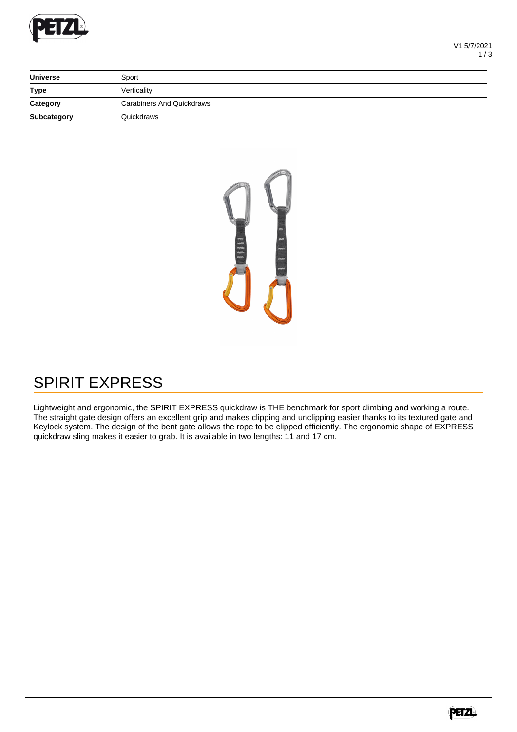

| <b>Universe</b>    | Sport                            |  |
|--------------------|----------------------------------|--|
| <b>Type</b>        | Verticality                      |  |
| Category           | <b>Carabiners And Quickdraws</b> |  |
| <b>Subcategory</b> | Quickdraws                       |  |



## SPIRIT EXPRESS

Lightweight and ergonomic, the SPIRIT EXPRESS quickdraw is THE benchmark for sport climbing and working a route. The straight gate design offers an excellent grip and makes clipping and unclipping easier thanks to its textured gate and Keylock system. The design of the bent gate allows the rope to be clipped efficiently. The ergonomic shape of EXPRESS quickdraw sling makes it easier to grab. It is available in two lengths: 11 and 17 cm.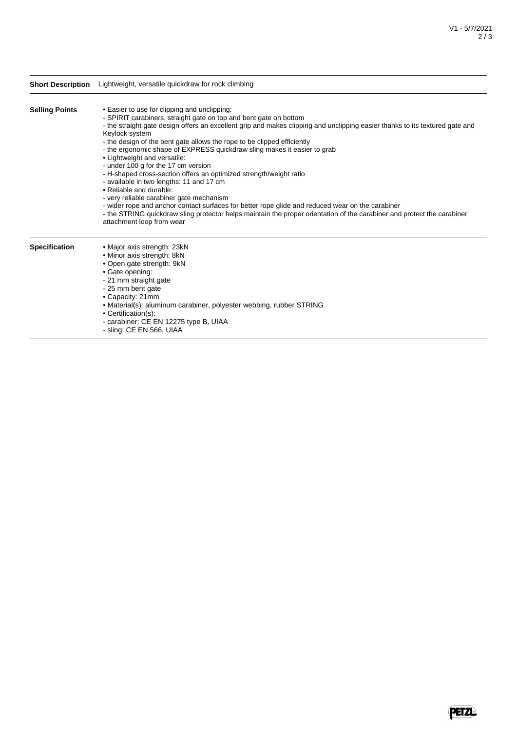|                       | Short Description Lightweight, versatile quickdraw for rock climbing                                                                                                                                                                                                                                                                                                                                                                                                                                                                                                                                                                                                                                                                                                                                                                                                                                                                                   |
|-----------------------|--------------------------------------------------------------------------------------------------------------------------------------------------------------------------------------------------------------------------------------------------------------------------------------------------------------------------------------------------------------------------------------------------------------------------------------------------------------------------------------------------------------------------------------------------------------------------------------------------------------------------------------------------------------------------------------------------------------------------------------------------------------------------------------------------------------------------------------------------------------------------------------------------------------------------------------------------------|
| <b>Selling Points</b> | • Easier to use for clipping and unclipping:<br>- SPIRIT carabiners, straight gate on top and bent gate on bottom<br>- the straight gate design offers an excellent grip and makes clipping and unclipping easier thanks to its textured gate and<br>Keylock system<br>- the design of the bent gate allows the rope to be clipped efficiently<br>- the ergonomic shape of EXPRESS quickdraw sling makes it easier to grab<br>• Lightweight and versatile:<br>- under 100 g for the 17 cm version<br>- H-shaped cross-section offers an optimized strength/weight ratio<br>- available in two lengths: 11 and 17 cm<br>• Reliable and durable:<br>- very reliable carabiner gate mechanism<br>- wider rope and anchor contact surfaces for better rope glide and reduced wear on the carabiner<br>- the STRING quickdraw sling protector helps maintain the proper orientation of the carabiner and protect the carabiner<br>attachment loop from wear |
| <b>Specification</b>  | • Major axis strength: 23kN<br>• Minor axis strength: 8kN<br>• Open gate strength: 9kN<br>• Gate opening:<br>- 21 mm straight gate<br>- 25 mm bent gate<br>• Capacity: 21mm<br>• Material(s): aluminum carabiner, polyester webbing, rubber STRING<br>• Certification(s):<br>- carabiner: CE EN 12275 type B, UIAA<br>- sling: CE EN 566, UIAA                                                                                                                                                                                                                                                                                                                                                                                                                                                                                                                                                                                                         |